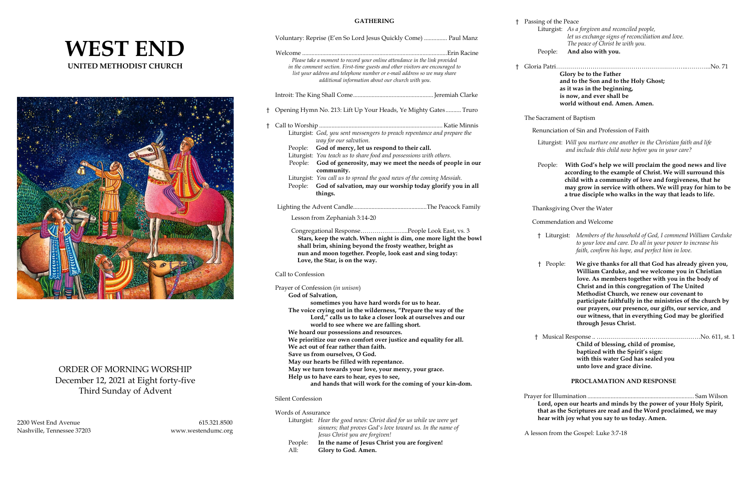# **WEST END UNITED METHODIST CHURCH**



# ORDER OF MORNING WORSHIP December 12, 2021 at Eight forty-five Third Sunday of Advent

2200 West End Avenue 615.321.8500 Nashville, Tennessee 37203 www.westendumc.org

**GATHERING**

## Voluntary: Reprise (E'en So Lord Jesus Quickly Come) ............... Paul Manz Welcome ..............................................................................................Erin Racine *Please take a moment to record your online attendance in the link provided in the comment section. First-time guests and other visitors are encouraged to list your address and telephone number or e-mail address so we may share additional information about our church with you.* Introit: The King Shall Come....................................................Jeremiah Clarke † Opening Hymn No. 213: Lift Up Your Heads, Ye Mighty Gates .......... Truro † Call to Worship ................................................................................ Katie Minnis Liturgist: *God, you sent messengers to preach repentance and prepare the way for our salvation.* People: **God of mercy, let us respond to their call.** Liturgist: *You teach us to share food and possessions with others.* People: **God of generosity, may we meet the needs of people in our community.** Liturgist: *You call us to spread the good news of the coming Messiah.* People: **God of salvation, may our worship today glorify you in all things.** Lighting the Advent Candle................................................The Peacock Family Lesson from Zephaniah 3:14-20 Congregational Response…………………...People Look East, vs. 3  **Stars, keep the watch. When night is dim, one more light the bowl shall brim, shining beyond the frosty weather, bright as nun and moon together. People, look east and sing today: Love, the Star, is on the way.** Call to Confession Prayer of Confession (*in unison*) **God of Salvation, sometimes you have hard words for us to hear. The voice crying out in the wilderness, "Prepare the way of the Lord," calls us to take a closer look at ourselves and our world to see where we are falling short. We hoard our possessions and resources. We prioritize our own comfort over justice and equality for all. We act out of fear rather than faith. Save us from ourselves, O God. May our hearts be filled with repentance. May we turn towards your love, your mercy, your grace. Help us to have ears to hear, eyes to see, and hands that will work for the coming of your kin-dom.** Silent Confession

| <sup>†</sup> Passing of the Peace |                                                   |
|-----------------------------------|---------------------------------------------------|
|                                   | Liturgist: As a forgiven and reconciled people,   |
|                                   | let us exchange signs of reconciliation and love. |
|                                   | The peace of Christ be with you.                  |
| People:                           | And also with you.                                |

| Words of Assurance |                                                                     |
|--------------------|---------------------------------------------------------------------|
|                    | Liturgist: Hear the good news: Christ died for us while we were yet |
|                    | sinners; that proves God's love toward us. In the name of           |
|                    | Jesus Christ you are forgiven!                                      |
| People:            | In the name of Jesus Christ you are forgiven!                       |
| All:               | Glory to God. Amen.                                                 |

† Gloria Patri………………………………………………………..………...No. 71 **Glory be to the Father** 

 **and to the Son and to the Holy Ghost; as it was in the beginning, is now, and ever shall be world without end. Amen. Amen.**

#### The Sacrament of Baptism

Renunciation of Sin and Profession of Faith

 Liturgist: *Will you nurture one another in the Christian faith and life and include this child now before you in your care?*

People: **With God's help we will proclaim the good news and live according to the example of Christ. We will surround this child with a community of love and forgiveness, that he may grow in service with others. We will pray for him to be a true disciple who walks in the way that leads to life.**

Thanksgiving Over the Water

Commendation and Welcome

- † Liturgist: *Members of the household of God, I commend William Carduke to your love and care. Do all in your power to increase his faith, confirm his hope, and perfect him in love.*
- † People: **We give thanks for all that God has already given you, William Carduke, and we welcome you in Christian love. As members together with you in the body of Christ and in this congregation of The United Methodist Church, we renew our covenant to participate faithfully in the ministries of the church by our prayers, our presence, our gifts, our service, and our witness, that in everything God may be glorified through Jesus Christ.**

 † Musical Response .. ……………………………………………No. 611, st. 1  **Child of blessing, child of promise, baptized with the Spirit's sign: with this water God has sealed you unto love and grace divine.**

### **PROCLAMATION AND RESPONSE**

 Prayer for Illumination ..................................................................... Sam Wilson **Lord, open our hearts and minds by the power of your Holy Spirit, that as the Scriptures are read and the Word proclaimed, we may hear with joy what you say to us today. Amen.**

A lesson from the Gospel: Luke 3:7-18